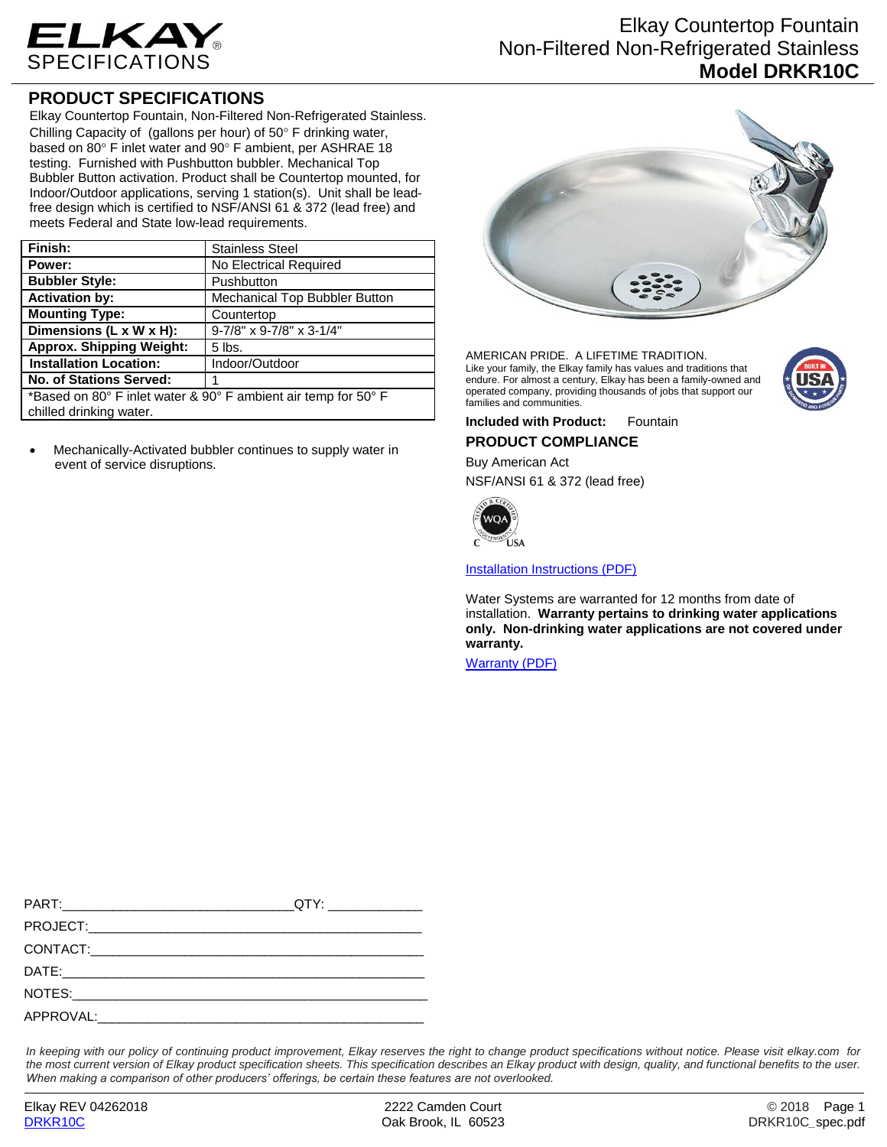

#### **PRODUCT SPECIFICATIONS**

Elkay Countertop Fountain, Non-Filtered Non-Refrigerated Stainless. Chilling Capacity of (gallons per hour) of  $50^\circ$  F drinking water, based on 80° F inlet water and 90° F ambient, per ASHRAE 18 testing. Furnished with Pushbutton bubbler. Mechanical Top Bubbler Button activation. Product shall be Countertop mounted, for Indoor/Outdoor applications, serving 1 station(s). Unit shall be leadfree design which is certified to NSF/ANSI 61 & 372 (lead free) and meets Federal and State low-lead requirements.

| <b>Stainless Steel</b>                                         |  |
|----------------------------------------------------------------|--|
| No Electrical Required                                         |  |
| Pushbutton                                                     |  |
| Mechanical Top Bubbler Button                                  |  |
| Countertop                                                     |  |
| 9-7/8" x 9-7/8" x 3-1/4"                                       |  |
| $5$ lbs.                                                       |  |
| Indoor/Outdoor                                                 |  |
|                                                                |  |
| *Based on 80° F inlet water & 90° F ambient air temp for 50° F |  |
|                                                                |  |
|                                                                |  |

 Mechanically-Activated bubbler continues to supply water in event of service disruptions.

## Elkay Countertop Fountain Non-Filtered Non-Refrigerated Stainless **Model DRKR10C**



AMERICAN PRIDE. A LIFETIME TRADITION. Like your family, the Elkay family has values and traditions that endure. For almost a century, Elkay has been a family-owned and operated company, providing thousands of jobs that support our families and communities.



**Included with Product:** Fountain **PRODUCT COMPLIANCE**

# Buy American Act

NSF/ANSI 61 & 372 (lead free)



[Installation Instructions \(PDF\)](http://www.elkay.com/wcsstore/lkdocs/care-cleaning-install-warranty-sheets/98712c.pdf)

Water Systems are warranted for 12 months from date of installation. **Warranty pertains to drinking water applications only. Non-drinking water applications are not covered under warranty.**

[Warranty](http://www.elkay.com/wcsstore/lkdocs/care-cleaning-install-warranty-sheets/96993c.pdf) (PDF)

*In keeping with our policy of continuing product improvement, Elkay reserves the right to change product specifications without notice. Please visit elkay.com for the most current version of Elkay product specification sheets. This specification describes an Elkay product with design, quality, and functional benefits to the user. When making a comparison of other producers' offerings, be certain these features are not overlooked.*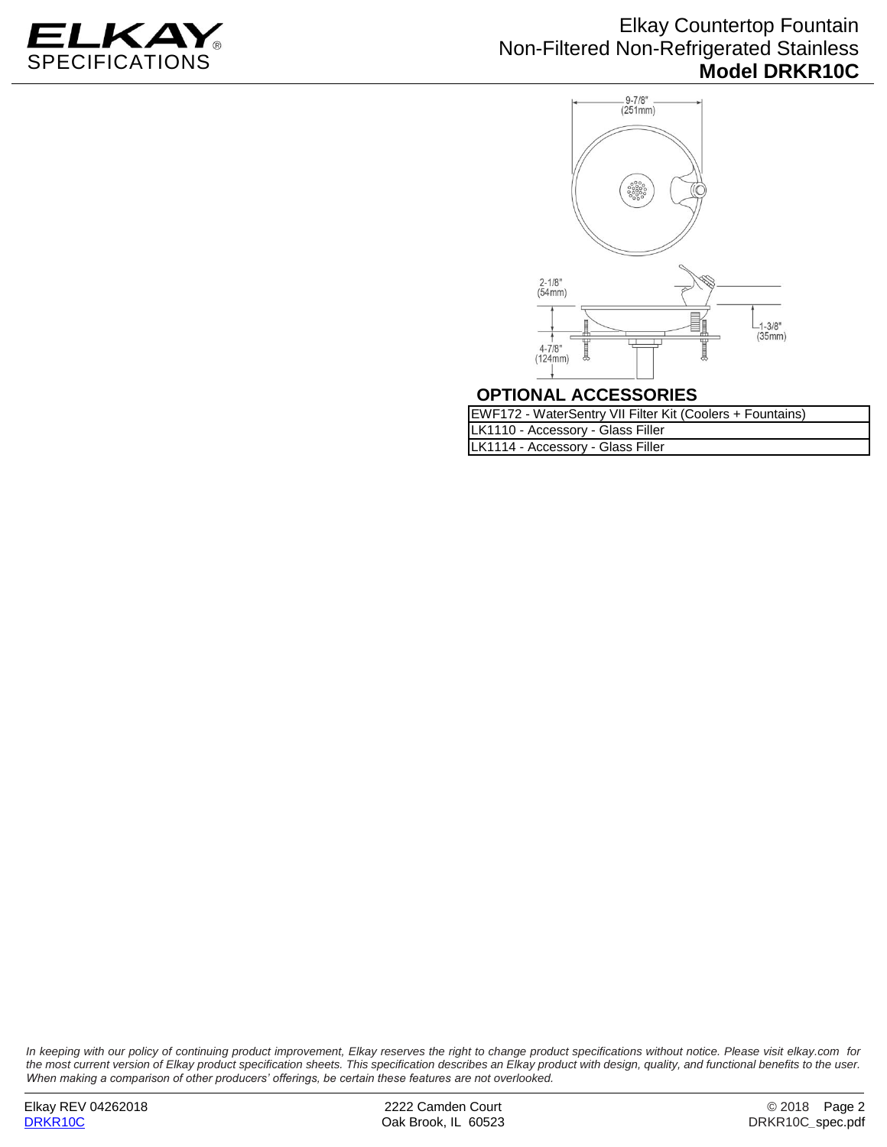

#### Elkay Countertop Fountain Non-Filtered Non-Refrigerated Stainless **Model DRKR10C**



#### **OPTIONAL ACCESSORIES**

| EWF172 - WaterSentry VII Filter Kit (Coolers + Fountains) |
|-----------------------------------------------------------|
| LK1110 - Accessory - Glass Filler                         |
| LK1114 - Accessory - Glass Filler                         |

*In keeping with our policy of continuing product improvement, Elkay reserves the right to change product specifications without notice. Please visit elkay.com for the most current version of Elkay product specification sheets. This specification describes an Elkay product with design, quality, and functional benefits to the user. When making a comparison of other producers' offerings, be certain these features are not overlooked.*